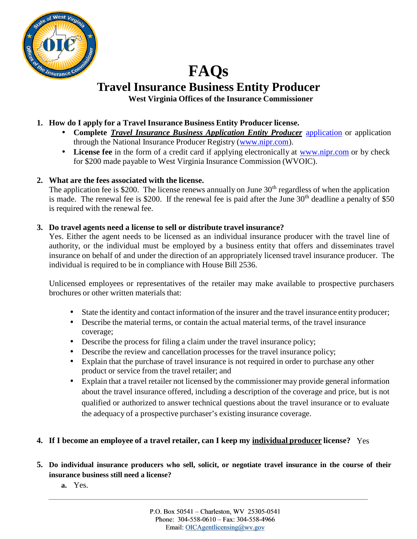

# **FAQs Travel Insurance Business Entity Producer West Virginia Offices of the Insurance Commissioner**

## **1. How do I apply for a Travel Insurance Business Entity [Producer](http://www.nipr.com/) license.**

- **Complete** *Travel Insurance Business Application Entity Producer* [application](http://www.nipr.com/) or application through the National Insurance Producer Registry (www.nipr.com).
- **License fee** in the form of a credit card if applying electronically at www.nipr.com or by check for \$200 made payable to West Virginia Insurance Commission (WVOIC).

### **2. What are the fees associated with the license.**

The application fee is \$200. The license renews annually on June  $30<sup>th</sup>$  regardless of when the application is made. The renewal fee is \$200. If the renewal fee is paid after the June  $30<sup>th</sup>$  deadline a penalty of \$50 is required with the renewal fee.

### **3. Do travel agents need a license to sellor distribute travel insurance?**

Yes. Either the agent needs to be licensed as an individual insurance producer with the travel line of authority, or the individual must be employed by a business entity that offers and disseminates travel insurance on behalf of and under the direction of an appropriately licensed travel insurance producer. The individual is required to be in compliance with House Bill 2536.

Unlicensed employees or representatives of the retailer may make available to prospective purchasers brochures or other written materials that:

- State the identity and contact information of the insurer and the travel insurance entity producer; Describe the material terms, or contain the actual material terms, of the travel insurance coverage;
- Describe the process for filing a claim under the travel insurance policy;
- Describe the review and cancellation processes for the travel insurance policy;
- Explain that the purchase of travel insurance is not required in order to purchase any other product or service from the travel retailer; and
- Explain that a travel retailer not licensed by the commissioner may provide general information about the travel insurance offered, including a description of the coverage and price, but is not qualified or authorized to answer technical questions about the travel insurance or to evaluate the adequacy of a prospective purchaser's existing insurance coverage.

#### **4. If I become an employee of a travel retailer, can I keep my individual producer license?** Yes

- 5. Do individual insurance producers who sell, solicit, or negotiate travel insurance in the course of their **insurance business still need a license?**
	- **a.** Yes.